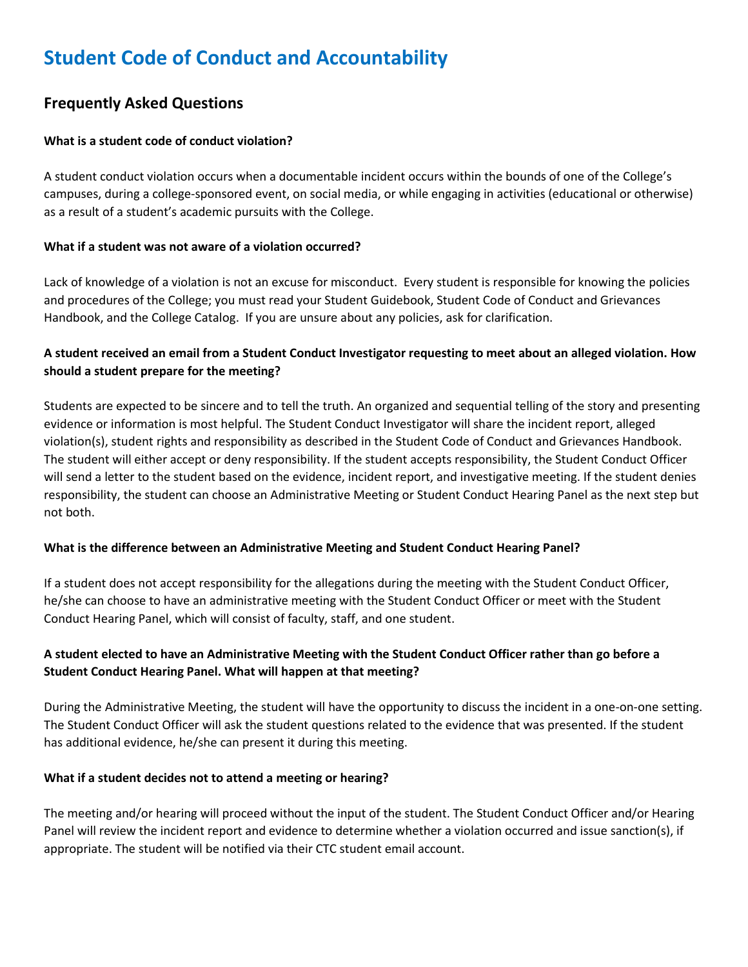# **Student Code of Conduct and Accountability**

# **Frequently Asked Questions**

# **What is a student code of conduct violation?**

A student conduct violation occurs when a documentable incident occurs within the bounds of one of the College's campuses, during a college-sponsored event, on social media, or while engaging in activities (educational or otherwise) as a result of a student's academic pursuits with the College.

#### **What if a student was not aware of a violation occurred?**

Lack of knowledge of a violation is not an excuse for misconduct. Every student is responsible for knowing the policies and procedures of the College; you must read your Student Guidebook, Student Code of Conduct and Grievances Handbook, and the College Catalog. If you are unsure about any policies, ask for clarification.

# **A student received an email from a Student Conduct Investigator requesting to meet about an alleged violation. How should a student prepare for the meeting?**

Students are expected to be sincere and to tell the truth. An organized and sequential telling of the story and presenting evidence or information is most helpful. The Student Conduct Investigator will share the incident report, alleged violation(s), student rights and responsibility as described in the Student Code of Conduct and Grievances Handbook. The student will either accept or deny responsibility. If the student accepts responsibility, the Student Conduct Officer will send a letter to the student based on the evidence, incident report, and investigative meeting. If the student denies responsibility, the student can choose an Administrative Meeting or Student Conduct Hearing Panel as the next step but not both.

# **What is the difference between an Administrative Meeting and Student Conduct Hearing Panel?**

If a student does not accept responsibility for the allegations during the meeting with the Student Conduct Officer, he/she can choose to have an administrative meeting with the Student Conduct Officer or meet with the Student Conduct Hearing Panel, which will consist of faculty, staff, and one student.

# **A student elected to have an Administrative Meeting with the Student Conduct Officer rather than go before a Student Conduct Hearing Panel. What will happen at that meeting?**

During the Administrative Meeting, the student will have the opportunity to discuss the incident in a one-on-one setting. The Student Conduct Officer will ask the student questions related to the evidence that was presented. If the student has additional evidence, he/she can present it during this meeting.

#### **What if a student decides not to attend a meeting or hearing?**

The meeting and/or hearing will proceed without the input of the student. The Student Conduct Officer and/or Hearing Panel will review the incident report and evidence to determine whether a violation occurred and issue sanction(s), if appropriate. The student will be notified via their CTC student email account.